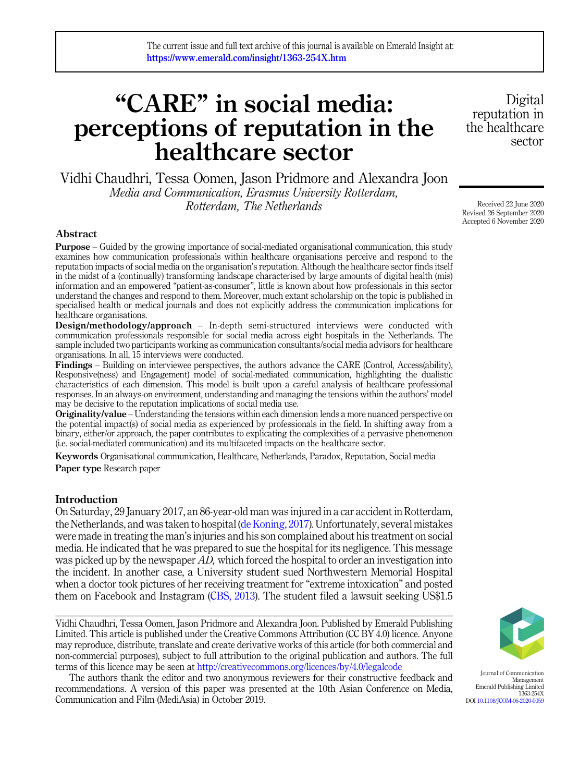# "CARE" in social media: perceptions of reputation in the healthcare sector

Vidhi Chaudhri, Tessa Oomen, Jason Pridmore and Alexandra Joon Media and Communication, Erasmus University Rotterdam, Rotterdam, The Netherlands

### Abstract

Purpose – Guided by the growing importance of social-mediated organisational communication, this study examines how communication professionals within healthcare organisations perceive and respond to the reputation impacts of social media on the organisation's reputation. Although the healthcare sector finds itself in the midst of a (continually) transforming landscape characterised by large amounts of digital health (mis) information and an empowered "patient-as-consumer", little is known about how professionals in this sector understand the changes and respond to them. Moreover, much extant scholarship on the topic is published in specialised health or medical journals and does not explicitly address the communication implications for healthcare organisations.

Design/methodology/approach – In-depth semi-structured interviews were conducted with communication professionals responsible for social media across eight hospitals in the Netherlands. The sample included two participants working as communication consultants/social media advisors for healthcare organisations. In all, 15 interviews were conducted.

Findings – Building on interviewee perspectives, the authors advance the CARE (Control, Access(ability), Responsive(ness) and Engagement) model of social-mediated communication, highlighting the dualistic characteristics of each dimension. This model is built upon a careful analysis of healthcare professional responses. In an always-on environment, understanding and managing the tensions within the authors' model may be decisive to the reputation implications of social media use.

**Originality/value** – Understanding the tensions within each dimension lends a more nuanced perspective on the potential impact(s) of social media as experienced by professionals in the field. In shifting away from a binary, either/or approach, the paper contributes to explicating the complexities of a pervasive phenomenon (i.e. social-mediated communication) and its multifaceted impacts on the healthcare sector.

Keywords Organisational communication, Healthcare, Netherlands, Paradox, Reputation, Social media Paper type Research paper

#### **Introduction**

On Saturday, 29 January 2017, an 86-year-old man was injured in a car accident in Rotterdam, the Netherlands, and was taken to hospital ([de Koning, 2017](#page-14-0)).Unfortunately, several mistakes were made in treating the man's injuries and his son complained about his treatment on social media. He indicated that he was prepared to sue the hospital for its negligence. This message was picked up by the newspaper AD, which forced the hospital to order an investigation into the incident. In another case, a University student sued Northwestern Memorial Hospital when a doctor took pictures of her receiving treatment for "extreme intoxication" and posted them on Facebook and Instagram [\(CBS, 2013\)](#page-14-0). The student filed a lawsuit seeking US\$1.5

Vidhi Chaudhri, Tessa Oomen, Jason Pridmore and Alexandra Joon. Published by Emerald Publishing Limited. This article is published under the Creative Commons Attribution (CC BY 4.0) licence. Anyone may reproduce, distribute, translate and create derivative works of this article (for both commercial and non-commercial purposes), subject to full attribution to the original publication and authors. The full terms of this licence may be seen at <http://creativecommons.org/licences/by/4.0/legalcode>

The authors thank the editor and two anonymous reviewers for their constructive feedback and recommendations. A version of this paper was presented at the 10th Asian Conference on Media, Communication and Film (MediAsia) in October 2019.

sector

Digital reputation in the healthcare

Received 22 June 2020 Revised 26 September 2020 Accepted 6 November 2020



Journal of Communication Management Emerald Publishing Limited 1363-254X DOI [10.1108/JCOM-06-2020-0059](https://doi.org/10.1108/JCOM-06-2020-0059)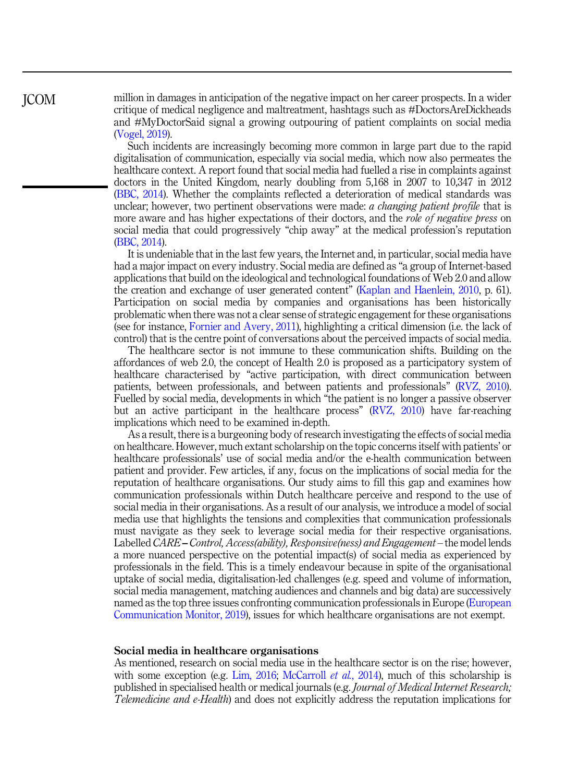million in damages in anticipation of the negative impact on her career prospects. In a wider critique of medical negligence and maltreatment, hashtags such as #DoctorsAreDickheads and #MyDoctorSaid signal a growing outpouring of patient complaints on social media ([Vogel, 2019\)](#page-16-0).

Such incidents are increasingly becoming more common in large part due to the rapid digitalisation of communication, especially via social media, which now also permeates the healthcare context. A report found that social media had fuelled a rise in complaints against doctors in the United Kingdom, nearly doubling from 5,168 in 2007 to 10,347 in 2012 ([BBC, 2014](#page-14-0)). Whether the complaints reflected a deterioration of medical standards was unclear; however, two pertinent observations were made: *a changing patient profile* that is more aware and has higher expectations of their doctors, and the *role of negative press* on social media that could progressively "chip away" at the medical profession's reputation ([BBC, 2014\)](#page-14-0).

It is undeniable that in the last few years, the Internet and, in particular, social media have had a major impact on every industry. Social media are defined as "a group of Internet-based applications that build on the ideological and technological foundations of Web 2.0 and allow the creation and exchange of user generated content" ([Kaplan and Haenlein, 2010,](#page-15-0) p. 61). Participation on social media by companies and organisations has been historically problematic when there was not a clear sense of strategic engagement for these organisations (see for instance, [Fornier and Avery, 2011\)](#page-14-0), highlighting a critical dimension (i.e. the lack of control) that is the centre point of conversations about the perceived impacts of social media.

The healthcare sector is not immune to these communication shifts. Building on the affordances of web 2.0, the concept of Health 2.0 is proposed as a participatory system of healthcare characterised by "active participation, with direct communication between patients, between professionals, and between patients and professionals" ([RVZ, 2010\)](#page-16-0). Fuelled by social media, developments in which "the patient is no longer a passive observer but an active participant in the healthcare process" ([RVZ, 2010\)](#page-16-0) have far-reaching implications which need to be examined in-depth.

As a result, there is a burgeoning body of research investigating the effects of social media on healthcare. However, much extant scholarship on the topic concerns itself with patients' or healthcare professionals' use of social media and/or the e-health communication between patient and provider. Few articles, if any, focus on the implications of social media for the reputation of healthcare organisations. Our study aims to fill this gap and examines how communication professionals within Dutch healthcare perceive and respond to the use of social media in their organisations. As a result of our analysis, we introduce a model of social media use that highlights the tensions and complexities that communication professionals must navigate as they seek to leverage social media for their respective organisations. Labelled CARE – Control, Access(ability), Responsive(ness) and Engagement – the model lends a more nuanced perspective on the potential impact(s) of social media as experienced by professionals in the field. This is a timely endeavour because in spite of the organisational uptake of social media, digitalisation-led challenges (e.g. speed and volume of information, social media management, matching audiences and channels and big data) are successively named as the top three issues confronting communication professionals in Europe [\(European](#page-14-0) [Communication Monitor, 2019\)](#page-14-0), issues for which healthcare organisations are not exempt.

#### Social media in healthcare organisations

As mentioned, research on social media use in the healthcare sector is on the rise; however, with some exception (e.g. [Lim, 2016;](#page-15-0) [McCarroll](#page-15-0) *et al.*, 2014), much of this scholarship is published in specialised health or medical journals (e.g. Journal of Medical Internet Research; Telemedicine and e-Health) and does not explicitly address the reputation implications for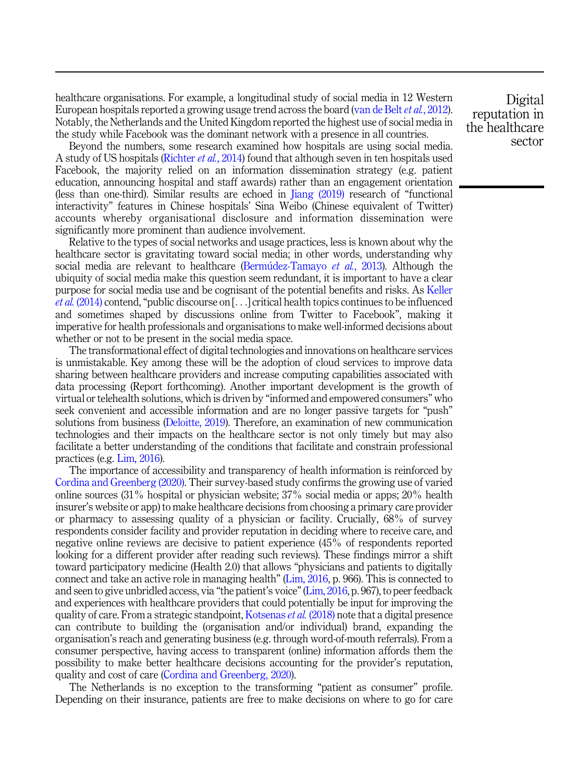healthcare organisations. For example, a longitudinal study of social media in 12 Western European hospitals reported a growing usage trend across the board [\(van de Belt](#page-16-0) *et al.*, 2012). Notably, the Netherlands and the United Kingdom reported the highest use of social media in the study while Facebook was the dominant network with a presence in all countries.

Beyond the numbers, some research examined how hospitals are using social media. A study of US hospitals [\(Richter](#page-15-0) et al., 2014) found that although seven in ten hospitals used Facebook, the majority relied on an information dissemination strategy (e.g. patient education, announcing hospital and staff awards) rather than an engagement orientation (less than one-third). Similar results are echoed in [Jiang \(2019\)](#page-14-0) research of "functional interactivity" features in Chinese hospitals' Sina Weibo (Chinese equivalent of Twitter) accounts whereby organisational disclosure and information dissemination were significantly more prominent than audience involvement.

Relative to the types of social networks and usage practices, less is known about why the healthcare sector is gravitating toward social media; in other words, understanding why social media are relevant to healthcare ([Bermudez-Tamayo](#page-14-0) *et al.*, 2013). Although the ubiquity of social media make this question seem redundant, it is important to have a clear purpose for social media use and be cognisant of the potential benefits and risks. As [Keller](#page-15-0) et al. [\(2014\)](#page-15-0) contend, "public discourse on [...] critical health topics continues to be influenced and sometimes shaped by discussions online from Twitter to Facebook", making it imperative for health professionals and organisations to make well-informed decisions about whether or not to be present in the social media space.

The transformational effect of digital technologies and innovations on healthcare services is unmistakable. Key among these will be the adoption of cloud services to improve data sharing between healthcare providers and increase computing capabilities associated with data processing (Report forthcoming). Another important development is the growth of virtual or telehealth solutions, which is driven by "informed and empowered consumers" who seek convenient and accessible information and are no longer passive targets for "push" solutions from business [\(Deloitte, 2019](#page-14-0)). Therefore, an examination of new communication technologies and their impacts on the healthcare sector is not only timely but may also facilitate a better understanding of the conditions that facilitate and constrain professional practices (e.g. [Lim, 2016](#page-15-0)).

The importance of accessibility and transparency of health information is reinforced by [Cordina and Greenberg \(2020\)](#page-14-0). Their survey-based study confirms the growing use of varied online sources (31% hospital or physician website; 37% social media or apps; 20% health insurer's website or app) to make healthcare decisions from choosing a primary care provider or pharmacy to assessing quality of a physician or facility. Crucially, 68% of survey respondents consider facility and provider reputation in deciding where to receive care, and negative online reviews are decisive to patient experience (45% of respondents reported looking for a different provider after reading such reviews). These findings mirror a shift toward participatory medicine (Health 2.0) that allows "physicians and patients to digitally connect and take an active role in managing health" ([Lim, 2016,](#page-15-0) p. 966). This is connected to and seen to give unbridled access, via "the patient's voice"[\(Lim, 2016](#page-15-0), p. 967), to peer feedback and experiences with healthcare providers that could potentially be input for improving the quality of care. From a strategic standpoint, [Kotsenas](#page-15-0) *et al.* (2018) note that a digital presence can contribute to building the (organisation and/or individual) brand, expanding the organisation's reach and generating business (e.g. through word-of-mouth referrals). From a consumer perspective, having access to transparent (online) information affords them the possibility to make better healthcare decisions accounting for the provider's reputation, quality and cost of care [\(Cordina and Greenberg, 2020\)](#page-14-0).

The Netherlands is no exception to the transforming "patient as consumer" profile. Depending on their insurance, patients are free to make decisions on where to go for care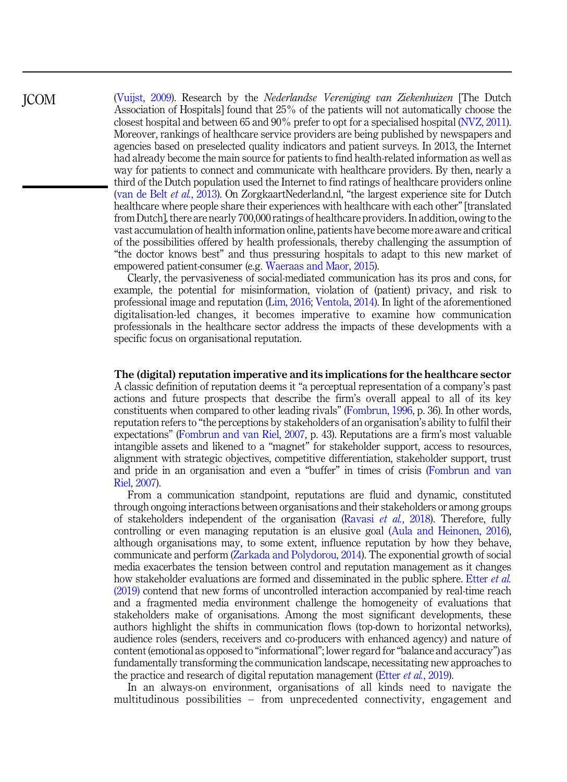([Vuijst, 2009](#page-16-0)). Research by the Nederlandse Vereniging van Ziekenhuizen [The Dutch Association of Hospitals] found that 25% of the patients will not automatically choose the closest hospital and between 65 and 90% prefer to opt for a specialised hospital [\(NVZ, 2011\)](#page-15-0). Moreover, rankings of healthcare service providers are being published by newspapers and agencies based on preselected quality indicators and patient surveys. In 2013, the Internet had already become the main source for patients to find health-related information as well as way for patients to connect and communicate with healthcare providers. By then, nearly a third of the Dutch population used the Internet to find ratings of healthcare providers online ([van de Belt](#page-16-0) et al., 2013). On ZorgkaartNederland.nl, "the largest experience site for Dutch healthcare where people share their experiences with healthcare with each other" [translated from Dutch], there are nearly 700,000 ratings of healthcare providers. In addition, owing to the vast accumulation of health information online, patients have become more aware and critical of the possibilities offered by health professionals, thereby challenging the assumption of "the doctor knows best" and thus pressuring hospitals to adapt to this new market of empowered patient-consumer (e.g. [Waeraas and Maor, 2015\)](#page-16-0).

JCOM

Clearly, the pervasiveness of social-mediated communication has its pros and cons, for example, the potential for misinformation, violation of (patient) privacy, and risk to professional image and reputation [\(Lim, 2016](#page-15-0); [Ventola, 2014\)](#page-16-0). In light of the aforementioned digitalisation-led changes, it becomes imperative to examine how communication professionals in the healthcare sector address the impacts of these developments with a specific focus on organisational reputation.

#### The (digital) reputation imperative and its implications for the healthcare sector

A classic definition of reputation deems it "a perceptual representation of a company's past actions and future prospects that describe the firm's overall appeal to all of its key constituents when compared to other leading rivals" ([Fombrun, 1996,](#page-14-0) p. 36). In other words, reputation refers to "the perceptions by stakeholders of an organisation's ability to fulfil their expectations" ([Fombrun and van Riel, 2007](#page-14-0), p. 43). Reputations are a firm's most valuable intangible assets and likened to a "magnet" for stakeholder support, access to resources, alignment with strategic objectives, competitive differentiation, stakeholder support, trust and pride in an organisation and even a "buffer" in times of crisis [\(Fombrun and van](#page-14-0) [Riel, 2007\)](#page-14-0).

From a communication standpoint, reputations are fluid and dynamic, constituted through ongoing interactions between organisations and their stakeholders or among groups of stakeholders independent of the organisation ([Ravasi](#page-15-0) et al., 2018). Therefore, fully controlling or even managing reputation is an elusive goal [\(Aula and Heinonen, 2016\)](#page-14-0), although organisations may, to some extent, influence reputation by how they behave, communicate and perform [\(Zarkada and Polydorou, 2014\)](#page-16-0). The exponential growth of social media exacerbates the tension between control and reputation management as it changes how stakeholder evaluations are formed and disseminated in the public sphere. [Etter](#page-14-0) *et al.* [\(2019\)](#page-14-0) contend that new forms of uncontrolled interaction accompanied by real-time reach and a fragmented media environment challenge the homogeneity of evaluations that stakeholders make of organisations. Among the most significant developments, these authors highlight the shifts in communication flows (top-down to horizontal networks), audience roles (senders, receivers and co-producers with enhanced agency) and nature of content (emotional as opposed to "informational"; lower regard for"balance and accuracy") as fundamentally transforming the communication landscape, necessitating new approaches to the practice and research of digital reputation management (Etter *et al.*[, 2019\)](#page-14-0).

In an always-on environment, organisations of all kinds need to navigate the multitudinous possibilities – from unprecedented connectivity, engagement and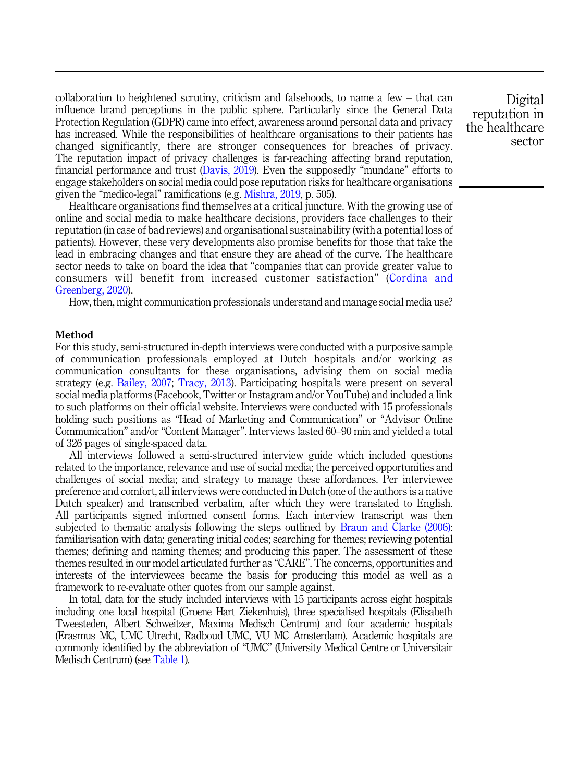collaboration to heightened scrutiny, criticism and falsehoods, to name a few – that can influence brand perceptions in the public sphere. Particularly since the General Data Protection Regulation (GDPR) came into effect, awareness around personal data and privacy has increased. While the responsibilities of healthcare organisations to their patients has changed significantly, there are stronger consequences for breaches of privacy. The reputation impact of privacy challenges is far-reaching affecting brand reputation, financial performance and trust [\(Davis, 2019](#page-14-0)). Even the supposedly "mundane" efforts to engage stakeholders on social media could pose reputation risks for healthcare organisations given the "medico-legal" ramifications (e.g. [Mishra, 2019,](#page-15-0) p. 505).

Healthcare organisations find themselves at a critical juncture. With the growing use of online and social media to make healthcare decisions, providers face challenges to their reputation (in case of bad reviews) and organisational sustainability (with a potential loss of patients). However, these very developments also promise benefits for those that take the lead in embracing changes and that ensure they are ahead of the curve. The healthcare sector needs to take on board the idea that "companies that can provide greater value to consumers will benefit from increased customer satisfaction" ([Cordina and](#page-14-0) [Greenberg, 2020](#page-14-0)).

How, then, might communication professionals understand and manage social media use?

#### Method

For this study, semi-structured in-depth interviews were conducted with a purposive sample of communication professionals employed at Dutch hospitals and/or working as communication consultants for these organisations, advising them on social media strategy (e.g. [Bailey, 2007](#page-14-0); [Tracy, 2013](#page-16-0)). Participating hospitals were present on several social media platforms (Facebook, Twitter or Instagram and/or YouTube) and included a link to such platforms on their official website. Interviews were conducted with 15 professionals holding such positions as "Head of Marketing and Communication" or "Advisor Online Communication" and/or "Content Manager". Interviews lasted 60–90 min and yielded a total of 326 pages of single-spaced data.

All interviews followed a semi-structured interview guide which included questions related to the importance, relevance and use of social media; the perceived opportunities and challenges of social media; and strategy to manage these affordances. Per interviewee preference and comfort, all interviews were conducted in Dutch (one of the authors is a native Dutch speaker) and transcribed verbatim, after which they were translated to English. All participants signed informed consent forms. Each interview transcript was then subjected to thematic analysis following the steps outlined by [Braun and Clarke \(2006\)](#page-14-0): familiarisation with data; generating initial codes; searching for themes; reviewing potential themes; defining and naming themes; and producing this paper. The assessment of these themes resulted in our model articulated further as "CARE". The concerns, opportunities and interests of the interviewees became the basis for producing this model as well as a framework to re-evaluate other quotes from our sample against.

In total, data for the study included interviews with 15 participants across eight hospitals including one local hospital (Groene Hart Ziekenhuis), three specialised hospitals (Elisabeth Tweesteden, Albert Schweitzer, Maxima Medisch Centrum) and four academic hospitals (Erasmus MC, UMC Utrecht, Radboud UMC, VU MC Amsterdam). Academic hospitals are commonly identified by the abbreviation of "UMC" (University Medical Centre or Universitair Medisch Centrum) (see [Table 1](#page-5-0)).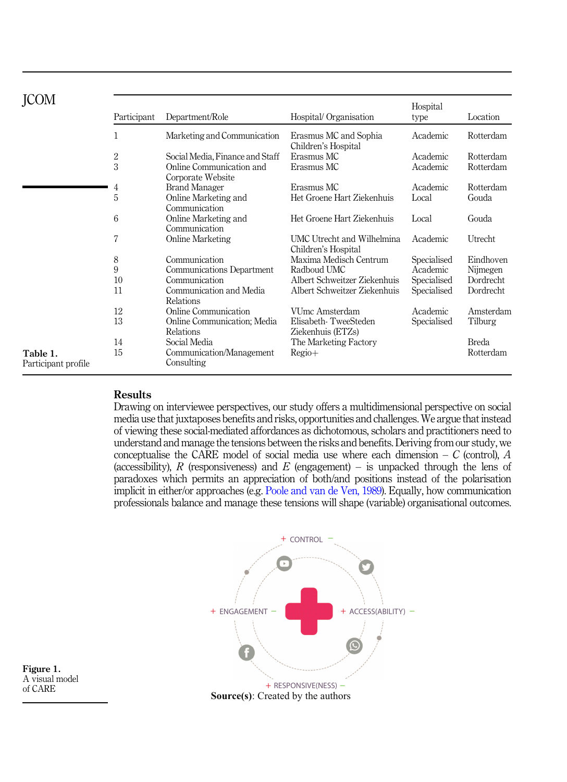<span id="page-5-0"></span>

|                                 | Participant  | Department/Role                               | Hospital/Organisation                             | Hospital<br>type | Location     |
|---------------------------------|--------------|-----------------------------------------------|---------------------------------------------------|------------------|--------------|
|                                 | $\mathbf{1}$ | Marketing and Communication                   | Erasmus MC and Sophia<br>Children's Hospital      | Academic         | Rotterdam    |
|                                 | $\sqrt{2}$   | Social Media, Finance and Staff               | Erasmus MC                                        | Academic         | Rotterdam    |
|                                 | 3            | Online Communication and<br>Corporate Website | Erasmus MC                                        | Academic         | Rotterdam    |
|                                 | 4            | <b>Brand Manager</b>                          | Erasmus MC                                        | Academic         | Rotterdam    |
|                                 | 5            | Online Marketing and<br>Communication         | Het Groene Hart Ziekenhuis                        | Local            | Gouda        |
|                                 | 6            | Online Marketing and<br>Communication         | Het Groene Hart Ziekenhuis                        | Local            | Gouda        |
|                                 | 7            | Online Marketing                              | UMC Utrecht and Wilhelmina<br>Children's Hospital | Academic         | Utrecht      |
|                                 | 8            | Communication                                 | Maxima Medisch Centrum                            | Specialised      | Eindhoven    |
|                                 | 9            | Communications Department                     | Radboud UMC                                       | Academic         | Nijmegen     |
|                                 | 10           | Communication                                 | Albert Schweitzer Ziekenhuis                      | Specialised      | Dordrecht    |
|                                 | 11           | Communication and Media<br>Relations          | Albert Schweitzer Ziekenhuis                      | Specialised      | Dordrecht    |
|                                 | 12           | Online Communication                          | VUmc Amsterdam                                    | Academic         | Amsterdam    |
|                                 | 13           | Online Communication; Media<br>Relations      | Elisabeth-TweeSteden<br>Ziekenhuis (ETZs)         | Specialised      | Tilburg      |
|                                 | 14           | Social Media                                  | The Marketing Factory                             |                  | <b>Breda</b> |
| Table 1.<br>Participant profile | 15           | Communication/Management<br>Consulting        | $Regio+$                                          |                  | Rotterdam    |

## Results

Drawing on interviewee perspectives, our study offers a multidimensional perspective on social media use that juxtaposes benefits and risks, opportunities and challenges.We argue that instead of viewing these social-mediated affordances as dichotomous, scholars and practitioners need to understand and manage the tensions between the risks and benefits. Deriving from our study, we conceptualise the CARE model of social media use where each dimension  $- C$  (control), A (accessibility), R (responsiveness) and E (engagement) – is unpacked through the lens of paradoxes which permits an appreciation of both/and positions instead of the polarisation implicit in either/or approaches (e.g. [Poole and van de Ven, 1989](#page-15-0)). Equally, how communication professionals balance and manage these tensions will shape (variable) organisational outcomes.



Figure 1. A visual model of CARE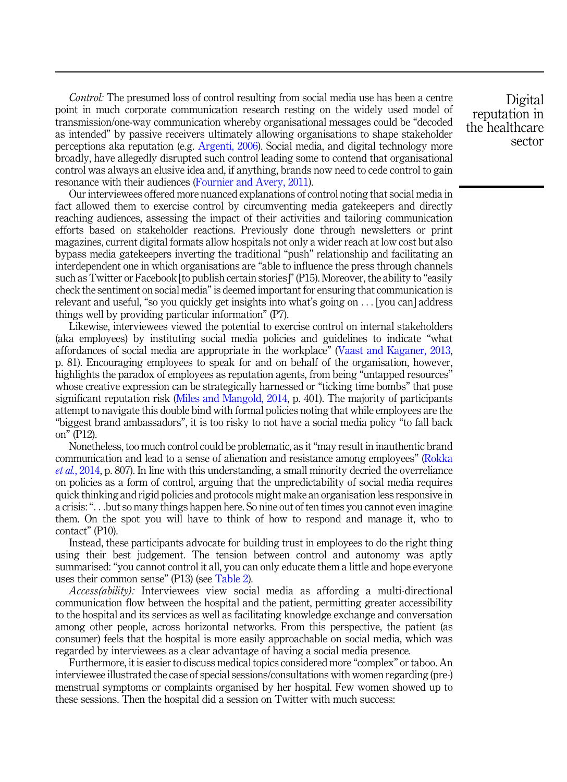Control: The presumed loss of control resulting from social media use has been a centre point in much corporate communication research resting on the widely used model of transmission/one-way communication whereby organisational messages could be "decoded as intended" by passive receivers ultimately allowing organisations to shape stakeholder perceptions aka reputation (e.g. [Argenti, 2006](#page-14-0)). Social media, and digital technology more broadly, have allegedly disrupted such control leading some to contend that organisational control was always an elusive idea and, if anything, brands now need to cede control to gain resonance with their audiences [\(Fournier and Avery, 2011\)](#page-14-0).

Our interviewees offered more nuanced explanations of control noting that social media in fact allowed them to exercise control by circumventing media gatekeepers and directly reaching audiences, assessing the impact of their activities and tailoring communication efforts based on stakeholder reactions. Previously done through newsletters or print magazines, current digital formats allow hospitals not only a wider reach at low cost but also bypass media gatekeepers inverting the traditional "push" relationship and facilitating an interdependent one in which organisations are "able to influence the press through channels such as Twitter or Facebook [to publish certain stories]"(P15). Moreover, the ability to "easily check the sentiment on social media"is deemed important for ensuring that communication is relevant and useful, "so you quickly get insights into what's going on ... [you can] address things well by providing particular information" (P7).

Likewise, interviewees viewed the potential to exercise control on internal stakeholders (aka employees) by instituting social media policies and guidelines to indicate "what affordances of social media are appropriate in the workplace" ([Vaast and Kaganer, 2013](#page-16-0), p. 81). Encouraging employees to speak for and on behalf of the organisation, however, highlights the paradox of employees as reputation agents, from being "untapped resources" whose creative expression can be strategically harnessed or "ticking time bombs" that pose significant reputation risk [\(Miles and Mangold, 2014](#page-15-0), p. 401). The majority of participants attempt to navigate this double bind with formal policies noting that while employees are the "biggest brand ambassadors", it is too risky to not have a social media policy "to fall back on" (P12).

Nonetheless, too much control could be problematic, as it"may result in inauthentic brand communication and lead to a sense of alienation and resistance among employees" [\(Rokka](#page-16-0) et al.[, 2014,](#page-16-0) p. 807). In line with this understanding, a small minority decried the overreliance on policies as a form of control, arguing that the unpredictability of social media requires quick thinking and rigid policies and protocols might make an organisation less responsive in a crisis:"...but so many things happen here. So nine out of ten times you cannot even imagine them. On the spot you will have to think of how to respond and manage it, who to contact" (P10).

Instead, these participants advocate for building trust in employees to do the right thing using their best judgement. The tension between control and autonomy was aptly summarised: "you cannot control it all, you can only educate them a little and hope everyone uses their common sense" (P13) (see [Table 2](#page-7-0)).

Access(ability): Interviewees view social media as affording a multi-directional communication flow between the hospital and the patient, permitting greater accessibility to the hospital and its services as well as facilitating knowledge exchange and conversation among other people, across horizontal networks. From this perspective, the patient (as consumer) feels that the hospital is more easily approachable on social media, which was regarded by interviewees as a clear advantage of having a social media presence.

Furthermore, it is easier to discuss medical topics considered more "complex" or taboo. An interviewee illustrated the case of special sessions/consultations with women regarding (pre-) menstrual symptoms or complaints organised by her hospital. Few women showed up to these sessions. Then the hospital did a session on Twitter with much success: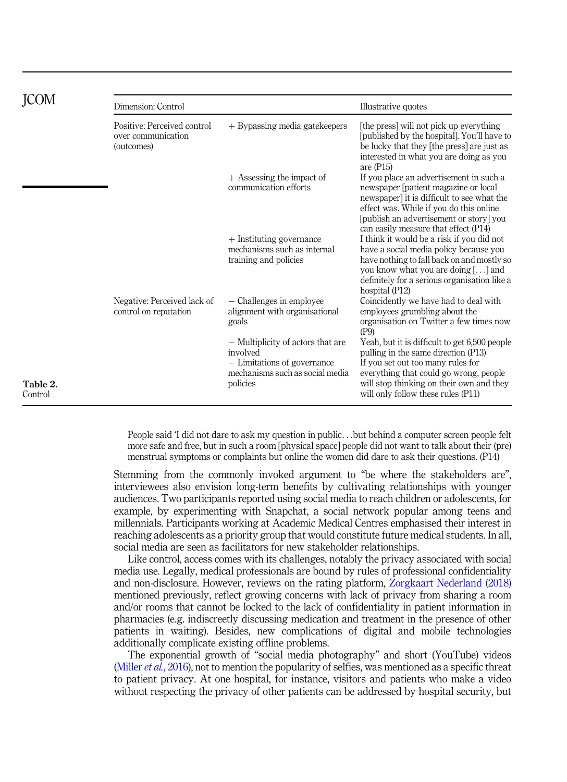<span id="page-7-0"></span>

|                     | Dimension: Control                                              |                                                                                                                             |                                                                                                                                                                                                                                                              |  |
|---------------------|-----------------------------------------------------------------|-----------------------------------------------------------------------------------------------------------------------------|--------------------------------------------------------------------------------------------------------------------------------------------------------------------------------------------------------------------------------------------------------------|--|
|                     | Positive: Perceived control<br>over communication<br>(outcomes) | $+$ Bypassing media gate keepers                                                                                            | [the press] will not pick up everything<br>[published by the hospital]. You'll have to<br>be lucky that they [the press] are just as<br>interested in what you are doing as you<br>are $($ P15 $)$                                                           |  |
|                     |                                                                 | $+$ Assessing the impact of<br>communication efforts                                                                        | If you place an advertisement in such a<br>newspaper [patient magazine or local]<br>newspaper] it is difficult to see what the<br>effect was. While if you do this online<br>[publish an advertisement or story] you<br>can easily measure that effect (P14) |  |
|                     |                                                                 | $+$ Instituting governance<br>mechanisms such as internal<br>training and policies                                          | I think it would be a risk if you did not<br>have a social media policy because you<br>have nothing to fall back on and mostly so<br>you know what you are doing [] and<br>definitely for a serious organisation like a<br>hospital (P12)                    |  |
|                     | Negative: Perceived lack of<br>control on reputation            | - Challenges in employee<br>alignment with organisational<br>goals                                                          | Coincidently we have had to deal with<br>employees grumbling about the<br>organisation on Twitter a few times now<br>(P9)                                                                                                                                    |  |
| Table 2.<br>Control |                                                                 | - Multiplicity of actors that are<br>involved<br>- Limitations of governance<br>mechanisms such as social media<br>policies | Yeah, but it is difficult to get 6,500 people<br>pulling in the same direction (P13)<br>If you set out too many rules for<br>everything that could go wrong, people<br>will stop thinking on their own and they<br>will only follow these rules (P11)        |  |

People said 'I did not dare to ask my question in public...but behind a computer screen people felt more safe and free, but in such a room [physical space] people did not want to talk about their (pre) menstrual symptoms or complaints but online the women did dare to ask their questions. (P14)

Stemming from the commonly invoked argument to "be where the stakeholders are", interviewees also envision long-term benefits by cultivating relationships with younger audiences. Two participants reported using social media to reach children or adolescents, for example, by experimenting with Snapchat, a social network popular among teens and millennials. Participants working at Academic Medical Centres emphasised their interest in reaching adolescents as a priority group that would constitute future medical students. In all, social media are seen as facilitators for new stakeholder relationships.

Like control, access comes with its challenges, notably the privacy associated with social media use. Legally, medical professionals are bound by rules of professional confidentiality and non-disclosure. However, reviews on the rating platform, [Zorgkaart Nederland \(2018\)](#page-16-0) mentioned previously, reflect growing concerns with lack of privacy from sharing a room and/or rooms that cannot be locked to the lack of confidentiality in patient information in pharmacies (e.g. indiscreetly discussing medication and treatment in the presence of other patients in waiting). Besides, new complications of digital and mobile technologies additionally complicate existing offline problems.

The exponential growth of "social media photography" and short (YouTube) videos ([Miller](#page-15-0) *et al.*, 2016), not to mention the popularity of selfies, was mentioned as a specific threat to patient privacy. At one hospital, for instance, visitors and patients who make a video without respecting the privacy of other patients can be addressed by hospital security, but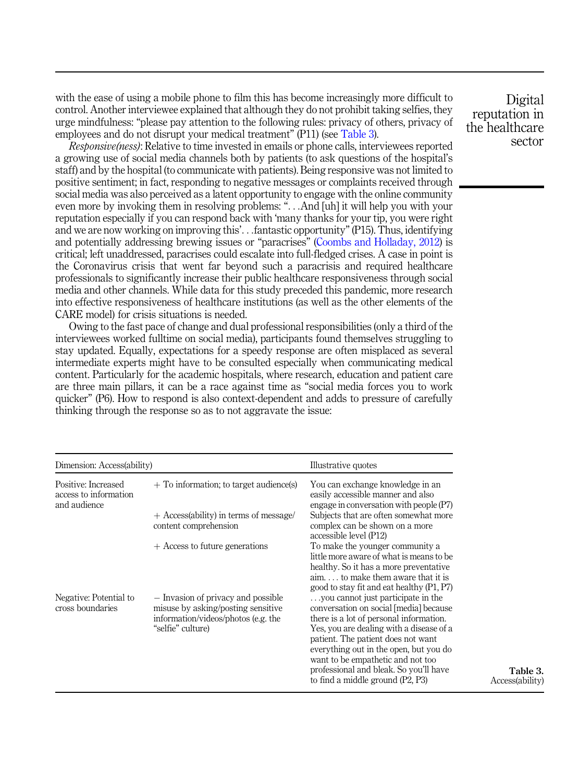with the ease of using a mobile phone to film this has become increasingly more difficult to control. Another interviewee explained that although they do not prohibit taking selfies, they urge mindfulness: "please pay attention to the following rules: privacy of others, privacy of employees and do not disrupt your medical treatment" (P11) (see Table 3).

Responsive(ness): Relative to time invested in emails or phone calls, interviewees reported a growing use of social media channels both by patients (to ask questions of the hospital's staff) and by the hospital (to communicate with patients). Being responsive was not limited to positive sentiment; in fact, responding to negative messages or complaints received through social media was also perceived as a latent opportunity to engage with the online community even more by invoking them in resolving problems: "...And [uh] it will help you with your reputation especially if you can respond back with 'many thanks for your tip, you were right and we are now working on improving this'...fantastic opportunity"(P15). Thus, identifying and potentially addressing brewing issues or "paracrises" [\(Coombs and Holladay, 2012\)](#page-14-0) is critical; left unaddressed, paracrises could escalate into full-fledged crises. A case in point is the Coronavirus crisis that went far beyond such a paracrisis and required healthcare professionals to significantly increase their public healthcare responsiveness through social media and other channels. While data for this study preceded this pandemic, more research into effective responsiveness of healthcare institutions (as well as the other elements of the CARE model) for crisis situations is needed.

Owing to the fast pace of change and dual professional responsibilities (only a third of the interviewees worked fulltime on social media), participants found themselves struggling to stay updated. Equally, expectations for a speedy response are often misplaced as several intermediate experts might have to be consulted especially when communicating medical content. Particularly for the academic hospitals, where research, education and patient care are three main pillars, it can be a race against time as "social media forces you to work quicker" (P6). How to respond is also context-dependent and adds to pressure of carefully thinking through the response so as to not aggravate the issue:

| Dimension: Access(ability)                                   |                                                                                                                                      | Illustrative quotes                                                                                                                                                                                                                                                                                                                                                    |  |
|--------------------------------------------------------------|--------------------------------------------------------------------------------------------------------------------------------------|------------------------------------------------------------------------------------------------------------------------------------------------------------------------------------------------------------------------------------------------------------------------------------------------------------------------------------------------------------------------|--|
| Positive: Increased<br>access to information<br>and audience | $+$ To information; to target audience(s)                                                                                            | You can exchange knowledge in an<br>easily accessible manner and also<br>engage in conversation with people (P7)                                                                                                                                                                                                                                                       |  |
|                                                              | + Access(ability) in terms of message/<br>content comprehension                                                                      | Subjects that are often somewhat more<br>complex can be shown on a more<br>accessible level (P12)                                                                                                                                                                                                                                                                      |  |
|                                                              | $+$ Access to future generations                                                                                                     | To make the younger community a<br>little more aware of what is means to be<br>healthy. So it has a more preventative<br>$\lim_{x \to \infty}$ to make them aware that it is<br>good to stay fit and eat healthy (P1, P7)                                                                                                                                              |  |
| Negative: Potential to<br>cross boundaries                   | - Invasion of privacy and possible<br>misuse by asking/posting sensitive<br>information/videos/photos (e.g. the<br>"selfie" culture) | you cannot just participate in the<br>conversation on social [media] because<br>there is a lot of personal information.<br>Yes, you are dealing with a disease of a<br>patient. The patient does not want<br>everything out in the open, but you do<br>want to be empathetic and not too<br>professional and bleak. So you'll have<br>to find a middle ground (P2, P3) |  |

Digital reputation in the healthcare sector

> Table 3. Access(ability)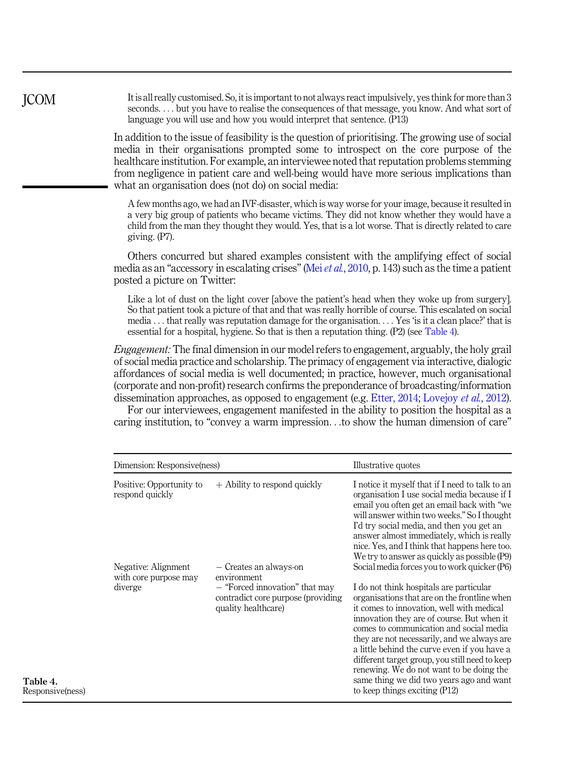It is all really customised. So, it is important to not always react impulsively, yes think for more than 3 seconds. ... but you have to realise the consequences of that message, you know. And what sort of language you will use and how you would interpret that sentence. (P13)

In addition to the issue of feasibility is the question of prioritising. The growing use of social media in their organisations prompted some to introspect on the core purpose of the healthcare institution. For example, an interviewee noted that reputation problems stemming from negligence in patient care and well-being would have more serious implications than what an organisation does (not do) on social media:

A few months ago, we had an IVF-disaster, which is way worse for your image, because it resulted in a very big group of patients who became victims. They did not know whether they would have a child from the man they thought they would. Yes, that is a lot worse. That is directly related to care giving. (P7).

Others concurred but shared examples consistent with the amplifying effect of social media as an "accessory in escalating crises" (Mei *et al.*[, 2010](#page-15-0), p. 143) such as the time a patient posted a picture on Twitter:

Like a lot of dust on the light cover labove the patient's head when they woke up from surgery]. So that patient took a picture of that and that was really horrible of course. This escalated on social media ... that really was reputation damage for the organisation. ... Yes 'is it a clean place?' that is essential for a hospital, hygiene. So that is then a reputation thing. (P2) (see Table 4).

Engagement: The final dimension in our model refers to engagement, arguably, the holy grail of social media practice and scholarship. The primacy of engagement via interactive, dialogic affordances of social media is well documented; in practice, however, much organisational (corporate and non-profit) research confirms the preponderance of broadcasting/information dissemination approaches, as opposed to engagement (e.g. [Etter, 2014](#page-14-0); [Lovejoy](#page-15-0) *et al.*, 2012).

For our interviewees, engagement manifested in the ability to position the hospital as a caring institution, to "convey a warm impression...to show the human dimension of care"

| Dimension: Responsive(ness)                             |                                                                                                                                      | Illustrative quotes                                                                                                                                                                                                                                                                                                                                                                                                                                                                                                                                     |  |
|---------------------------------------------------------|--------------------------------------------------------------------------------------------------------------------------------------|---------------------------------------------------------------------------------------------------------------------------------------------------------------------------------------------------------------------------------------------------------------------------------------------------------------------------------------------------------------------------------------------------------------------------------------------------------------------------------------------------------------------------------------------------------|--|
| Positive: Opportunity to<br>respond quickly             | $+$ Ability to respond quickly                                                                                                       | I notice it myself that if I need to talk to an<br>organisation I use social media because if I<br>email you often get an email back with "we<br>will answer within two weeks." So I thought<br>I'd try social media, and then you get an<br>answer almost immediately, which is really<br>nice. Yes, and I think that happens here too.<br>We try to answer as quickly as possible (P9)                                                                                                                                                                |  |
| Negative: Alignment<br>with core purpose may<br>diverge | - Creates an always-on<br>environment<br>- "Forced innovation" that may<br>contradict core purpose (providing<br>quality healthcare) | Social media forces you to work quicker (P6)<br>I do not think hospitals are particular<br>organisations that are on the frontline when<br>it comes to innovation, well with medical<br>innovation they are of course. But when it<br>comes to communication and social media<br>they are not necessarily, and we always are<br>a little behind the curve even if you have a<br>different target group, you still need to keep<br>renewing. We do not want to be doing the<br>same thing we did two years ago and want<br>to keep things exciting (P12) |  |

JCOM

Table 4. Responsive(ness)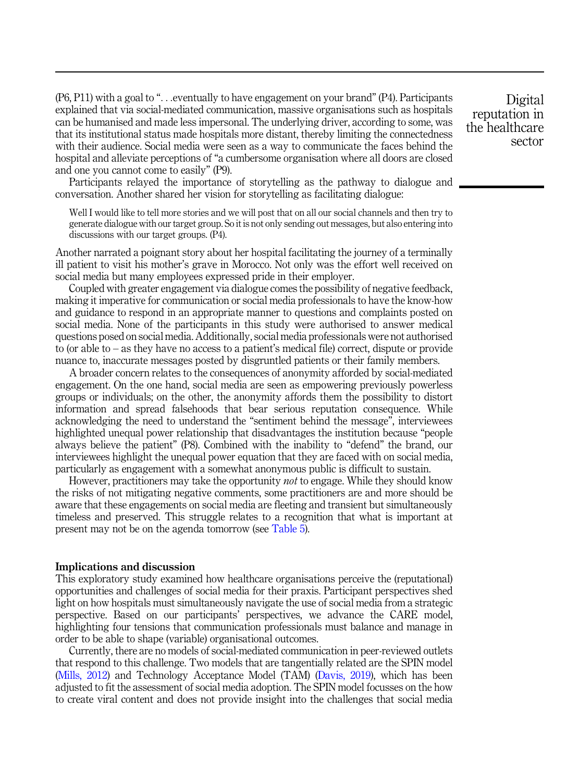(P6, P11) with a goal to "...eventually to have engagement on your brand" (P4). Participants explained that via social-mediated communication, massive organisations such as hospitals can be humanised and made less impersonal. The underlying driver, according to some, was that its institutional status made hospitals more distant, thereby limiting the connectedness with their audience. Social media were seen as a way to communicate the faces behind the hospital and alleviate perceptions of "a cumbersome organisation where all doors are closed and one you cannot come to easily" (P9).

Participants relayed the importance of storytelling as the pathway to dialogue and conversation. Another shared her vision for storytelling as facilitating dialogue:

Well I would like to tell more stories and we will post that on all our social channels and then try to generate dialogue with our target group. So it is not only sending out messages, but also entering into discussions with our target groups. (P4).

Another narrated a poignant story about her hospital facilitating the journey of a terminally ill patient to visit his mother's grave in Morocco. Not only was the effort well received on social media but many employees expressed pride in their employer.

Coupled with greater engagement via dialogue comes the possibility of negative feedback, making it imperative for communication or social media professionals to have the know-how and guidance to respond in an appropriate manner to questions and complaints posted on social media. None of the participants in this study were authorised to answer medical questions posed on social media. Additionally, social media professionals were not authorised to (or able to – as they have no access to a patient's medical file) correct, dispute or provide nuance to, inaccurate messages posted by disgruntled patients or their family members.

A broader concern relates to the consequences of anonymity afforded by social-mediated engagement. On the one hand, social media are seen as empowering previously powerless groups or individuals; on the other, the anonymity affords them the possibility to distort information and spread falsehoods that bear serious reputation consequence. While acknowledging the need to understand the "sentiment behind the message", interviewees highlighted unequal power relationship that disadvantages the institution because "people always believe the patient" (P8). Combined with the inability to "defend" the brand, our interviewees highlight the unequal power equation that they are faced with on social media, particularly as engagement with a somewhat anonymous public is difficult to sustain.

However, practitioners may take the opportunity not to engage. While they should know the risks of not mitigating negative comments, some practitioners are and more should be aware that these engagements on social media are fleeting and transient but simultaneously timeless and preserved. This struggle relates to a recognition that what is important at present may not be on the agenda tomorrow (see [Table 5](#page-11-0)).

#### Implications and discussion

This exploratory study examined how healthcare organisations perceive the (reputational) opportunities and challenges of social media for their praxis. Participant perspectives shed light on how hospitals must simultaneously navigate the use of social media from a strategic perspective. Based on our participants' perspectives, we advance the CARE model, highlighting four tensions that communication professionals must balance and manage in order to be able to shape (variable) organisational outcomes.

Currently, there are no models of social-mediated communication in peer-reviewed outlets that respond to this challenge. Two models that are tangentially related are the SPIN model ([Mills, 2012](#page-15-0)) and Technology Acceptance Model (TAM) ([Davis, 2019\)](#page-14-0), which has been adjusted to fit the assessment of social media adoption. The SPIN model focusses on the how to create viral content and does not provide insight into the challenges that social media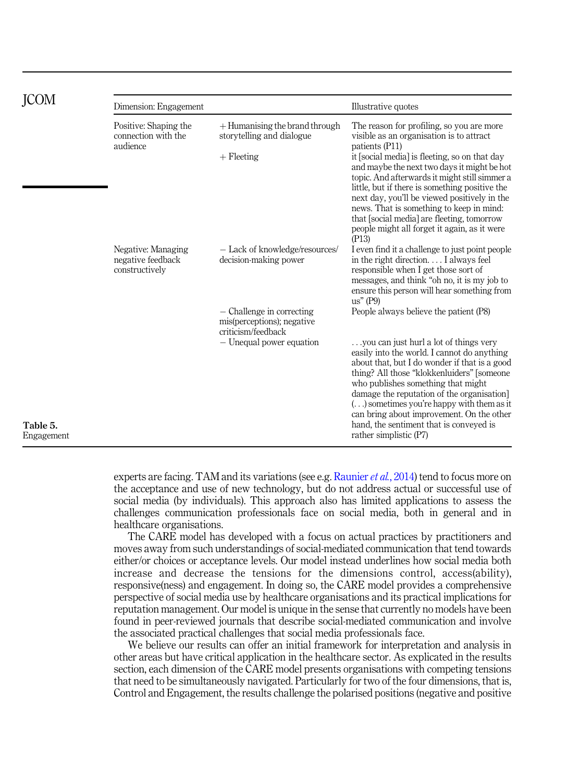<span id="page-11-0"></span>

|                        | Dimension: Engagement                                     |                                                                                                           | Illustrative quotes                                                                                                                                                                                                                                                                                                                                                                                                                                                                                  |  |
|------------------------|-----------------------------------------------------------|-----------------------------------------------------------------------------------------------------------|------------------------------------------------------------------------------------------------------------------------------------------------------------------------------------------------------------------------------------------------------------------------------------------------------------------------------------------------------------------------------------------------------------------------------------------------------------------------------------------------------|--|
|                        | Positive: Shaping the<br>connection with the<br>audience  | $+$ Humanising the brand through<br>storytelling and dialogue<br>$+$ Fleeting                             | The reason for profiling, so you are more<br>visible as an organisation is to attract<br>patients (P11)<br>it [social media] is fleeting, so on that day<br>and maybe the next two days it might be hot<br>topic. And afterwards it might still simmer a<br>little, but if there is something positive the<br>next day, you'll be viewed positively in the<br>news. That is something to keep in mind:<br>that [social media] are fleeting, tomorrow<br>people might all forget it again, as it were |  |
|                        | Negative: Managing<br>negative feedback<br>constructively | - Lack of knowledge/resources/<br>decision-making power                                                   | (P13)<br>I even find it a challenge to just point people<br>in the right direction I always feel<br>responsible when I get those sort of<br>messages, and think "oh no, it is my job to<br>ensure this person will hear something from<br>$us''$ (P9)                                                                                                                                                                                                                                                |  |
|                        |                                                           | - Challenge in correcting<br>mis(perceptions); negative<br>criticism/feedback<br>- Unequal power equation | People always believe the patient (P8)<br>you can just hurl a lot of things very<br>easily into the world. I cannot do anything<br>about that, but I do wonder if that is a good<br>thing? All those "klokkenluiders" [someone<br>who publishes something that might<br>damage the reputation of the organisation<br>$(\ldots)$ sometimes you're happy with them as it<br>can bring about improvement. On the other                                                                                  |  |
| Table 5.<br>Engagement |                                                           |                                                                                                           | hand, the sentiment that is conveyed is<br>rather simplistic (P7)                                                                                                                                                                                                                                                                                                                                                                                                                                    |  |

experts are facing. TAM and its variations (see e.g. [Raunier](#page-15-0) *et al.*, 2014) tend to focus more on the acceptance and use of new technology, but do not address actual or successful use of social media (by individuals). This approach also has limited applications to assess the challenges communication professionals face on social media, both in general and in healthcare organisations.

The CARE model has developed with a focus on actual practices by practitioners and moves away from such understandings of social-mediated communication that tend towards either/or choices or acceptance levels. Our model instead underlines how social media both increase and decrease the tensions for the dimensions control, access(ability), responsive(ness) and engagement. In doing so, the CARE model provides a comprehensive perspective of social media use by healthcare organisations and its practical implications for reputation management. Our model is unique in the sense that currently no models have been found in peer-reviewed journals that describe social-mediated communication and involve the associated practical challenges that social media professionals face.

We believe our results can offer an initial framework for interpretation and analysis in other areas but have critical application in the healthcare sector. As explicated in the results section, each dimension of the CARE model presents organisations with competing tensions that need to be simultaneously navigated. Particularly for two of the four dimensions, that is, Control and Engagement, the results challenge the polarised positions (negative and positive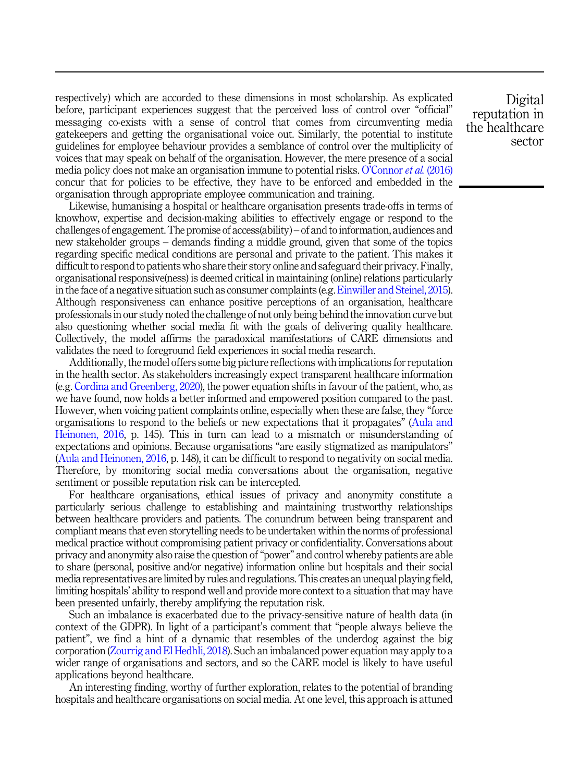respectively) which are accorded to these dimensions in most scholarship. As explicated before, participant experiences suggest that the perceived loss of control over "official" messaging co-exists with a sense of control that comes from circumventing media gatekeepers and getting the organisational voice out. Similarly, the potential to institute guidelines for employee behaviour provides a semblance of control over the multiplicity of voices that may speak on behalf of the organisation. However, the mere presence of a social media policy does not make an organisation immune to potential risks. O'[Connor](#page-15-0) et al. (2016) concur that for policies to be effective, they have to be enforced and embedded in the organisation through appropriate employee communication and training.

Likewise, humanising a hospital or healthcare organisation presents trade-offs in terms of knowhow, expertise and decision-making abilities to effectively engage or respond to the challenges of engagement. The promise of access(ability) – of and to information, audiences and new stakeholder groups – demands finding a middle ground, given that some of the topics regarding specific medical conditions are personal and private to the patient. This makes it difficult to respond to patients who share their story online and safeguard their privacy. Finally, organisational responsive(ness) is deemed critical in maintaining (online) relations particularly in the face of a negative situation such as consumer complaints (e.g.[Einwiller and Steinel, 2015\)](#page-14-0). Although responsiveness can enhance positive perceptions of an organisation, healthcare professionals in our study noted the challenge of not only being behind the innovation curve but also questioning whether social media fit with the goals of delivering quality healthcare. Collectively, the model affirms the paradoxical manifestations of CARE dimensions and validates the need to foreground field experiences in social media research.

Additionally, the model offers some big picture reflections with implications for reputation in the health sector. As stakeholders increasingly expect transparent healthcare information (e.g. [Cordina and Greenberg, 2020](#page-14-0)), the power equation shifts in favour of the patient, who, as we have found, now holds a better informed and empowered position compared to the past. However, when voicing patient complaints online, especially when these are false, they "force organisations to respond to the beliefs or new expectations that it propagates" [\(Aula and](#page-14-0) [Heinonen, 2016,](#page-14-0) p. 145). This in turn can lead to a mismatch or misunderstanding of expectations and opinions. Because organisations "are easily stigmatized as manipulators" ([Aula and Heinonen, 2016,](#page-14-0) p. 148), it can be difficult to respond to negativity on social media. Therefore, by monitoring social media conversations about the organisation, negative sentiment or possible reputation risk can be intercepted.

For healthcare organisations, ethical issues of privacy and anonymity constitute a particularly serious challenge to establishing and maintaining trustworthy relationships between healthcare providers and patients. The conundrum between being transparent and compliant means that even storytelling needs to be undertaken within the norms of professional medical practice without compromising patient privacy or confidentiality. Conversations about privacy and anonymity also raise the question of"power" and control whereby patients are able to share (personal, positive and/or negative) information online but hospitals and their social media representatives are limited by rules and regulations. This creates an unequal playing field, limiting hospitals' ability to respond well and provide more context to a situation that may have been presented unfairly, thereby amplifying the reputation risk.

Such an imbalance is exacerbated due to the privacy-sensitive nature of health data (in context of the GDPR). In light of a participant's comment that "people always believe the patient", we find a hint of a dynamic that resembles of the underdog against the big corporation ([Zourrig and El Hedhli, 2018\)](#page-16-0). Such an imbalanced power equation may apply to a wider range of organisations and sectors, and so the CARE model is likely to have useful applications beyond healthcare.

An interesting finding, worthy of further exploration, relates to the potential of branding hospitals and healthcare organisations on social media. At one level, this approach is attuned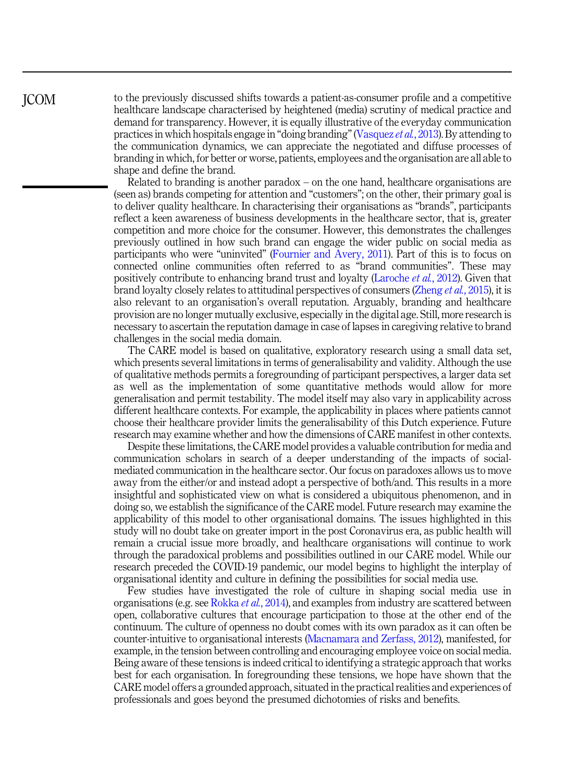to the previously discussed shifts towards a patient-as-consumer profile and a competitive healthcare landscape characterised by heightened (media) scrutiny of medical practice and demand for transparency. However, it is equally illustrative of the everyday communication practices in which hospitals engage in "doing branding"[\(Vasquez](#page-16-0) et al., 2013). By attending to the communication dynamics, we can appreciate the negotiated and diffuse processes of branding in which, for better or worse, patients, employees and the organisation are all able to shape and define the brand.

Related to branding is another paradox – on the one hand, healthcare organisations are (seen as) brands competing for attention and "customers"; on the other, their primary goal is to deliver quality healthcare. In characterising their organisations as "brands", participants reflect a keen awareness of business developments in the healthcare sector, that is, greater competition and more choice for the consumer. However, this demonstrates the challenges previously outlined in how such brand can engage the wider public on social media as participants who were "uninvited" [\(Fournier and Avery, 2011\)](#page-14-0). Part of this is to focus on connected online communities often referred to as "brand communities". These may positively contribute to enhancing brand trust and loyalty ([Laroche](#page-15-0) et al., 2012). Given that brand loyalty closely relates to attitudinal perspectives of consumers [\(Zheng](#page-16-0) et al., 2015), it is also relevant to an organisation's overall reputation. Arguably, branding and healthcare provision are no longer mutually exclusive, especially in the digital age. Still, more research is necessary to ascertain the reputation damage in case of lapses in caregiving relative to brand challenges in the social media domain.

The CARE model is based on qualitative, exploratory research using a small data set, which presents several limitations in terms of generalisability and validity. Although the use of qualitative methods permits a foregrounding of participant perspectives, a larger data set as well as the implementation of some quantitative methods would allow for more generalisation and permit testability. The model itself may also vary in applicability across different healthcare contexts. For example, the applicability in places where patients cannot choose their healthcare provider limits the generalisability of this Dutch experience. Future research may examine whether and how the dimensions of CARE manifest in other contexts.

Despite these limitations, the CARE model provides a valuable contribution for media and communication scholars in search of a deeper understanding of the impacts of socialmediated communication in the healthcare sector. Our focus on paradoxes allows us to move away from the either/or and instead adopt a perspective of both/and. This results in a more insightful and sophisticated view on what is considered a ubiquitous phenomenon, and in doing so, we establish the significance of the CARE model. Future research may examine the applicability of this model to other organisational domains. The issues highlighted in this study will no doubt take on greater import in the post Coronavirus era, as public health will remain a crucial issue more broadly, and healthcare organisations will continue to work through the paradoxical problems and possibilities outlined in our CARE model. While our research preceded the COVID-19 pandemic, our model begins to highlight the interplay of organisational identity and culture in defining the possibilities for social media use.

Few studies have investigated the role of culture in shaping social media use in organisations (e.g. see [Rokka](#page-16-0) et al., 2014), and examples from industry are scattered between open, collaborative cultures that encourage participation to those at the other end of the continuum. The culture of openness no doubt comes with its own paradox as it can often be counter-intuitive to organisational interests ([Macnamara and Zerfass, 2012\)](#page-15-0), manifested, for example, in the tension between controlling and encouraging employee voice on social media. Being aware of these tensions is indeed critical to identifying a strategic approach that works best for each organisation. In foregrounding these tensions, we hope have shown that the CARE model offers a grounded approach, situated in the practical realities and experiences of professionals and goes beyond the presumed dichotomies of risks and benefits.

JCOM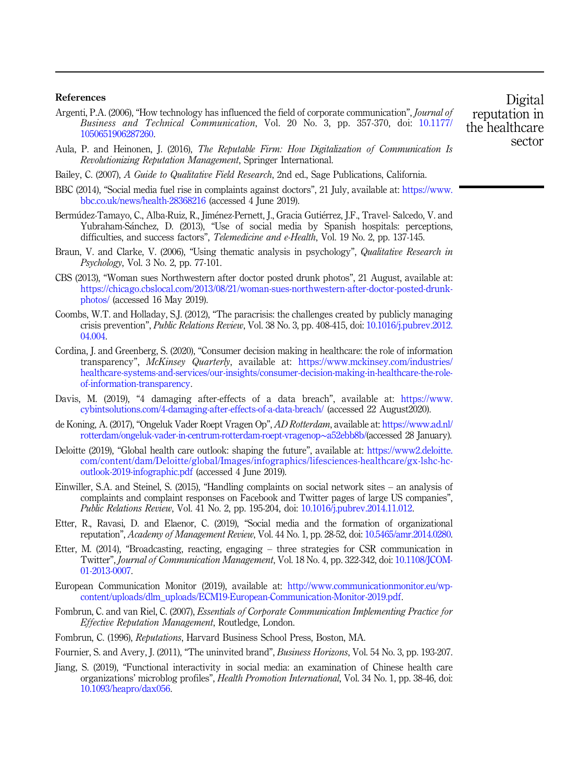### <span id="page-14-0"></span>References

- Argenti, P.A. (2006), "How technology has influenced the field of corporate communication", *Journal of* Business and Technical Communication, Vol. 20 No. 3, pp. 357-370, doi: [10.1177/](https://doi.org/10.1177/1050651906287260) [1050651906287260.](https://doi.org/10.1177/1050651906287260)
- Aula, P. and Heinonen, J. (2016), The Reputable Firm: How Digitalization of Communication Is Revolutionizing Reputation Management, Springer International.
- Bailey, C. (2007), A Guide to Qualitative Field Research, 2nd ed., Sage Publications, California.
- BBC (2014), "Social media fuel rise in complaints against doctors", 21 July, available at: [https://www.](https://www.bbc.co.uk/news/health-28368216) [bbc.co.uk/news/health-28368216](https://www.bbc.co.uk/news/health-28368216) (accessed 4 June 2019).
- Bermúdez-Tamayo, C., Alba-Ruiz, R., Jiménez-Pernett, J., Gracia Gutiérrez, J.F., Travel-Salcedo, V. and Yubraham-Sanchez, D. (2013), "Use of social media by Spanish hospitals: perceptions, difficulties, and success factors", *Telemedicine and e-Health*, Vol. 19 No. 2, pp. 137-145.
- Braun, V. and Clarke, V. (2006), "Using thematic analysis in psychology", Qualitative Research in Psychology, Vol. 3 No. 2, pp. 77-101.
- CBS (2013), "Woman sues Northwestern after doctor posted drunk photos", 21 August, available at: [https://chicago.cbslocal.com/2013/08/21/woman-sues-northwestern-after-doctor-posted-drunk](https://chicago.cbslocal.com/2013/08/21/woman-sues-northwestern-after-doctor-posted-drunk-photos/)[photos/](https://chicago.cbslocal.com/2013/08/21/woman-sues-northwestern-after-doctor-posted-drunk-photos/) (accessed 16 May 2019).
- Coombs, W.T. and Holladay, S.J. (2012), "The paracrisis: the challenges created by publicly managing crisis prevention", Public Relations Review, Vol. 38 No. 3, pp. 408-415, doi: [10.1016/j.pubrev.2012.](https://doi.org/10.1016/j.pubrev.2012.04.004) [04.004.](https://doi.org/10.1016/j.pubrev.2012.04.004)
- Cordina, J. and Greenberg, S. (2020), "Consumer decision making in healthcare: the role of information transparency", McKinsey Quarterly, available at: [https://www.mckinsey.com/industries/](https://www.mckinsey.com/industries/healthcare-systems-and-services/our-insights/consumer-decision-making-in-healthcare-the-role-of-information-transparency) [healthcare-systems-and-services/our-insights/consumer-decision-making-in-healthcare-the-role](https://www.mckinsey.com/industries/healthcare-systems-and-services/our-insights/consumer-decision-making-in-healthcare-the-role-of-information-transparency)[of-information-transparency.](https://www.mckinsey.com/industries/healthcare-systems-and-services/our-insights/consumer-decision-making-in-healthcare-the-role-of-information-transparency)
- Davis, M. (2019), "4 damaging after-effects of a data breach", available at: [https://www.](https://www.cybintsolutions.com/4-damaging-after-effects-of-a-data-breach/) [cybintsolutions.com/4-damaging-after-effects-of-a-data-breach/](https://www.cybintsolutions.com/4-damaging-after-effects-of-a-data-breach/) (accessed 22 August2020).
- de Koning, A. (2017), "Ongeluk Vader Roept Vragen Op", AD Rotterdam, available at: [https://www.ad.nl/](https://www.ad.nl/rotterdam/ongeluk-vader-in-centrum-rotterdam-roept-vragenop~a52ebb8b/) [rotterdam/ongeluk-vader-in-centrum-rotterdam-roept-vragenop](https://www.ad.nl/rotterdam/ongeluk-vader-in-centrum-rotterdam-roept-vragenop~a52ebb8b/)∼a52ebb8b/(accessed 28 January).
- Deloitte (2019), "Global health care outlook: shaping the future", available at: [https://www2.deloitte.](https://www2.deloitte.com/content/dam/Deloitte/global/Images/infographics/lifesciences-healthcare/gx-lshc-hc-outlook-2019-infographic.pdf) [com/content/dam/Deloitte/global/Images/infographics/lifesciences-healthcare/gx-lshc-hc](https://www2.deloitte.com/content/dam/Deloitte/global/Images/infographics/lifesciences-healthcare/gx-lshc-hc-outlook-2019-infographic.pdf)[outlook-2019-infographic.pdf](https://www2.deloitte.com/content/dam/Deloitte/global/Images/infographics/lifesciences-healthcare/gx-lshc-hc-outlook-2019-infographic.pdf) (accessed 4 June 2019).
- Einwiller, S.A. and Steinel, S. (2015), "Handling complaints on social network sites an analysis of complaints and complaint responses on Facebook and Twitter pages of large US companies", Public Relations Review, Vol. 41 No. 2, pp. 195-204, doi: [10.1016/j.pubrev.2014.11.012.](https://doi.org/10.1016/j.pubrev.2014.11.012)
- Etter, R., Ravasi, D. and Elaenor, C. (2019), "Social media and the formation of organizational reputation", Academy of Management Review, Vol. 44 No. 1, pp. 28-52, doi: [10.5465/amr.2014.0280](https://doi.org/10.5465/amr.2014.0280).
- Etter, M. (2014), "Broadcasting, reacting, engaging three strategies for CSR communication in Twitter", Journal of Communication Management, Vol. 18 No. 4, pp. 322-342, doi: [10.1108/JCOM-](https://doi.org/10.1108/JCOM-01-2013-0007)[01-2013-0007](https://doi.org/10.1108/JCOM-01-2013-0007).
- European Communication Monitor (2019), available at: [http://www.communicationmonitor.eu/wp](http://www.communicationmonitor.eu/wp-content/uploads/dlm_uploads/ECM19-European-Communication-Monitor-2019.pdf)[content/uploads/dlm\\_uploads/ECM19-European-Communication-Monitor-2019.pdf](http://www.communicationmonitor.eu/wp-content/uploads/dlm_uploads/ECM19-European-Communication-Monitor-2019.pdf).
- Fombrun, C. and van Riel, C. (2007), Essentials of Corporate Communication Implementing Practice for Effective Reputation Management, Routledge, London.
- Fombrun, C. (1996), Reputations, Harvard Business School Press, Boston, MA.
- Fournier, S. and Avery, J. (2011), "The uninvited brand", Business Horizons, Vol. 54 No. 3, pp. 193-207.
- Jiang, S. (2019), "Functional interactivity in social media: an examination of Chinese health care organizations' microblog profiles", Health Promotion International, Vol. 34 No. 1, pp. 38-46, doi: [10.1093/heapro/dax056](https://doi.org/10.1093/heapro/dax056).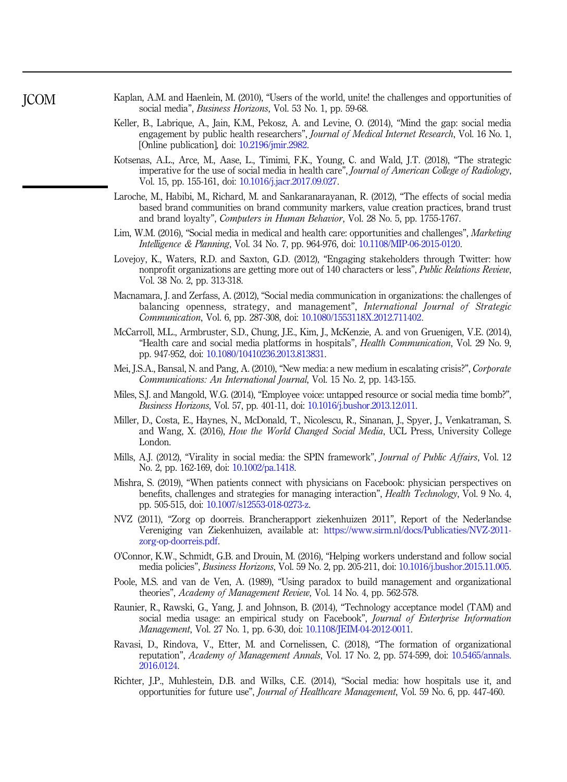- <span id="page-15-0"></span>Kaplan, A.M. and Haenlein, M. (2010), "Users of the world, unite! the challenges and opportunities of social media", *Business Horizons*, Vol. 53 No. 1, pp. 59-68.
- Keller, B., Labrique, A., Jain, K.M., Pekosz, A. and Levine, O. (2014), "Mind the gap: social media engagement by public health researchers", *Journal of Medical Internet Research*, Vol. 16 No. 1, [Online publication], doi: [10.2196/jmir.2982](https://doi.org/10.2196/jmir.2982).
- Kotsenas, A.L., Arce, M., Aase, L., Timimi, F.K., Young, C. and Wald, J.T. (2018), "The strategic imperative for the use of social media in health care", Journal of American College of Radiology, Vol. 15, pp. 155-161, doi: [10.1016/j.jacr.2017.09.027](https://doi.org/10.1016/j.jacr.2017.09.027).
- Laroche, M., Habibi, M., Richard, M. and Sankaranarayanan, R. (2012), "The effects of social media based brand communities on brand community markers, value creation practices, brand trust and brand loyalty", Computers in Human Behavior, Vol. 28 No. 5, pp. 1755-1767.
- Lim, W.M. (2016), "Social media in medical and health care: opportunities and challenges", Marketing Intelligence & Planning, Vol. 34 No. 7, pp. 964-976, doi: [10.1108/MIP-06-2015-0120.](https://doi.org/10.1108/MIP-06-2015-0120)
- Lovejoy, K., Waters, R.D. and Saxton, G.D. (2012), "Engaging stakeholders through Twitter: how nonprofit organizations are getting more out of 140 characters or less", Public Relations Review, Vol. 38 No. 2, pp. 313-318.
- Macnamara, J. and Zerfass, A. (2012), "Social media communication in organizations: the challenges of balancing openness, strategy, and management", International Journal of Strategic Communication, Vol. 6, pp. 287-308, doi: [10.1080/1553118X.2012.711402.](https://doi.org/10.1080/1553118X.2012.711402)
- McCarroll, M.L., Armbruster, S.D., Chung, J.E., Kim, J., McKenzie, A. and von Gruenigen, V.E. (2014), "Health care and social media platforms in hospitals", Health Communication, Vol. 29 No. 9, pp. 947-952, doi: [10.1080/10410236.2013.813831](https://doi.org/10.1080/10410236.2013.813831).
- Mei, J.S.A., Bansal, N. and Pang, A. (2010), "New media: a new medium in escalating crisis?", Corporate Communications: An International Journal, Vol. 15 No. 2, pp. 143-155.
- Miles, S.J. and Mangold, W.G. (2014), "Employee voice: untapped resource or social media time bomb?", Business Horizons, Vol. 57, pp. 401-11, doi: [10.1016/j.bushor.2013.12.011.](https://doi.org/10.1016/j.bushor.2013.12.011)
- Miller, D., Costa, E., Haynes, N., McDonald, T., Nicolescu, R., Sinanan, J., Spyer, J., Venkatraman, S. and Wang, X. (2016), How the World Changed Social Media, UCL Press, University College London.
- Mills, A.J. (2012), "Virality in social media: the SPIN framework", *Journal of Public Affairs*, Vol. 12 No. 2, pp. 162-169, doi: [10.1002/pa.1418](https://doi.org/10.1002/pa.1418).
- Mishra, S. (2019), "When patients connect with physicians on Facebook: physician perspectives on benefits, challenges and strategies for managing interaction", Health Technology, Vol. 9 No. 4, pp. 505-515, doi: [10.1007/s12553-018-0273-z.](https://doi.org/10.1007/s12553-018-0273-z)
- NVZ (2011), "Zorg op doorreis. Brancherapport ziekenhuizen 2011", Report of the Nederlandse Vereniging van Ziekenhuizen, available at: [https://www.sirm.nl/docs/Publicaties/NVZ-2011](https://www.sirm.nl/docs/Publicaties/NVZ-2011-zorg-op-doorreis.pdf) [zorg-op-doorreis.pdf.](https://www.sirm.nl/docs/Publicaties/NVZ-2011-zorg-op-doorreis.pdf)
- O'Connor, K.W., Schmidt, G.B. and Drouin, M. (2016), "Helping workers understand and follow social media policies", Business Horizons, Vol. 59 No. 2, pp. 205-211, doi: [10.1016/j.bushor.2015.11.005](https://doi.org/10.1016/j.bushor.2015.11.005).
- Poole, M.S. and van de Ven, A. (1989), "Using paradox to build management and organizational theories", Academy of Management Review, Vol. 14 No. 4, pp. 562-578.
- Raunier, R., Rawski, G., Yang, J. and Johnson, B. (2014), "Technology acceptance model (TAM) and social media usage: an empirical study on Facebook", Journal of Enterprise Information Management, Vol. 27 No. 1, pp. 6-30, doi: [10.1108/JEIM-04-2012-0011.](https://doi.org/10.1108/JEIM-04-2012-0011)
- Ravasi, D., Rindova, V., Etter, M. and Cornelissen, C. (2018), "The formation of organizational reputation", Academy of Management Annals, Vol. 17 No. 2, pp. 574-599, doi: [10.5465/annals.](https://doi.org/10.5465/annals.2016.0124) [2016.0124.](https://doi.org/10.5465/annals.2016.0124)
- Richter, J.P., Muhlestein, D.B. and Wilks, C.E. (2014), "Social media: how hospitals use it, and opportunities for future use", Journal of Healthcare Management, Vol. 59 No. 6, pp. 447-460.